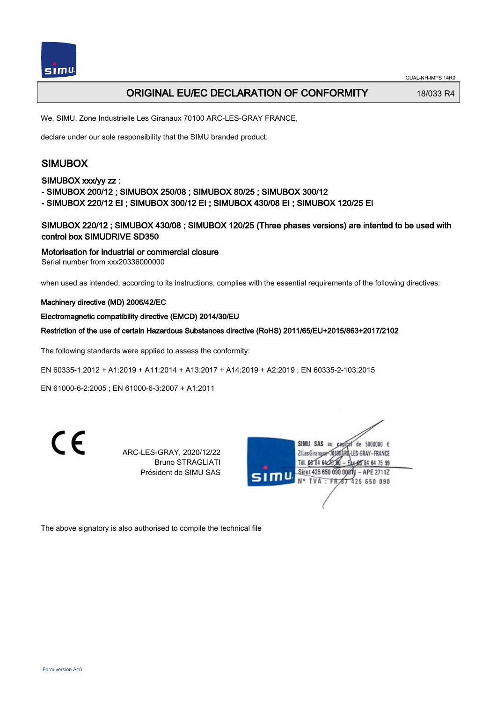# ORIGINAL EU/EC DECLARATION OF CONFORMITY 18/033 R4

We, SIMU, Zone Industrielle Les Giranaux 70100 ARC-LES-GRAY FRANCE,

declare under our sole responsibility that the SIMU branded product:

# SIMUBOX

## SIMUBOX xxx/yy zz :

- SIMUBOX 200/12 ; SIMUBOX 250/08 ; SIMUBOX 80/25 ; SIMUBOX 300/12
- SIMUBOX 220/12 EI ; SIMUBOX 300/12 EI ; SIMUBOX 430/08 EI ; SIMUBOX 120/25 EI

SIMUBOX 220/12 ; SIMUBOX 430/08 ; SIMUBOX 120/25 (Three phases versions) are intented to be used with control box SIMUDRIVE SD350

Motorisation for industrial or commercial closure

Serial number from xxx20336000000

when used as intended, according to its instructions, complies with the essential requirements of the following directives:

#### Machinery directive (MD) 2006/42/EC

#### Electromagnetic compatibility directive (EMCD) 2014/30/EU

Restriction of the use of certain Hazardous Substances directive (RoHS) 2011/65/EU+2015/863+2017/2102

The following standards were applied to assess the conformity:

EN 60335‑1:2012 + A1:2019 + A11:2014 + A13:2017 + A14:2019 + A2:2019 ; EN 60335‑2‑103:2015

EN 61000‑6‑2:2005 ; EN 61000‑6‑3:2007 + A1:2011



ARC-LES-GRAY, 2020/12/22 Bruno STRAGLIATI Président de SIMU SAS



The above signatory is also authorised to compile the technical file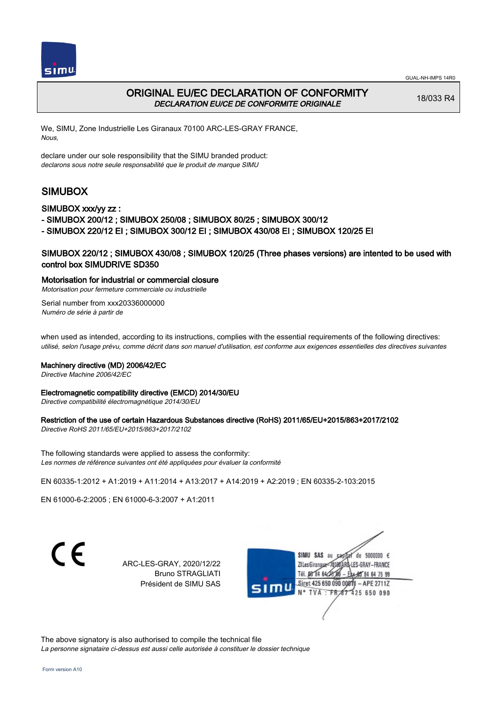



# ORIGINAL EU/EC DECLARATION OF CONFORMITY DECLARATION EU/CE DE CONFORMITE ORIGINALE

18/033 R4

We, SIMU, Zone Industrielle Les Giranaux 70100 ARC-LES-GRAY FRANCE, Nous,

declare under our sole responsibility that the SIMU branded product: declarons sous notre seule responsabilité que le produit de marque SIMU

# SIMUBOX

#### SIMUBOX xxx/yy zz :

- SIMUBOX 200/12 ; SIMUBOX 250/08 ; SIMUBOX 80/25 ; SIMUBOX 300/12

- SIMUBOX 220/12 EI ; SIMUBOX 300/12 EI ; SIMUBOX 430/08 EI ; SIMUBOX 120/25 EI

## SIMUBOX 220/12 ; SIMUBOX 430/08 ; SIMUBOX 120/25 (Three phases versions) are intented to be used with control box SIMUDRIVE SD350

#### Motorisation for industrial or commercial closure

Motorisation pour fermeture commerciale ou industrielle Serial number from xxx20336000000

Numéro de série à partir de

when used as intended, according to its instructions, complies with the essential requirements of the following directives: utilisé, selon l'usage prévu, comme décrit dans son manuel d'utilisation, est conforme aux exigences essentielles des directives suivantes

#### Machinery directive (MD) 2006/42/EC

Directive Machine 2006/42/EC

#### Electromagnetic compatibility directive (EMCD) 2014/30/EU

Directive compatibilité électromagnétique 2014/30/EU

#### Restriction of the use of certain Hazardous Substances directive (RoHS) 2011/65/EU+2015/863+2017/2102

Directive RoHS 2011/65/EU+2015/863+2017/2102

The following standards were applied to assess the conformity: Les normes de référence suivantes ont été appliquées pour évaluer la conformité

EN 60335‑1:2012 + A1:2019 + A11:2014 + A13:2017 + A14:2019 + A2:2019 ; EN 60335‑2‑103:2015

EN 61000‑6‑2:2005 ; EN 61000‑6‑3:2007 + A1:2011

C F

ARC-LES-GRAY, 2020/12/22 Bruno STRAGLIATI Président de SIMU SAS



The above signatory is also authorised to compile the technical file La personne signataire ci-dessus est aussi celle autorisée à constituer le dossier technique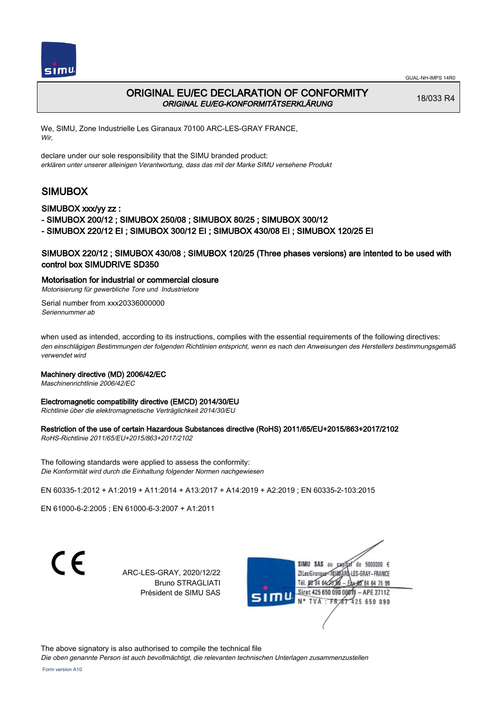



## ORIGINAL EU/EC DECLARATION OF CONFORMITY ORIGINAL EU/EG-KONFORMITÄTSERKLÄRUNG

18/033 R4

We, SIMU, Zone Industrielle Les Giranaux 70100 ARC-LES-GRAY FRANCE, Wir,

declare under our sole responsibility that the SIMU branded product: erklären unter unserer alleinigen Verantwortung, dass das mit der Marke SIMU versehene Produkt

# SIMUBOX

#### SIMUBOX xxx/yy zz :

- SIMUBOX 200/12 ; SIMUBOX 250/08 ; SIMUBOX 80/25 ; SIMUBOX 300/12

- SIMUBOX 220/12 EI ; SIMUBOX 300/12 EI ; SIMUBOX 430/08 EI ; SIMUBOX 120/25 EI

## SIMUBOX 220/12 ; SIMUBOX 430/08 ; SIMUBOX 120/25 (Three phases versions) are intented to be used with control box SIMUDRIVE SD350

#### Motorisation for industrial or commercial closure

Motorisierung für gewerbliche Tore und Industrietore Serial number from xxx20336000000

Seriennummer ab

when used as intended, according to its instructions, complies with the essential requirements of the following directives: den einschlägigen Bestimmungen der folgenden Richtlinien entspricht, wenn es nach den Anweisungen des Herstellers bestimmungsgemäß verwendet wird

#### Machinery directive (MD) 2006/42/EC

Maschinenrichtlinie 2006/42/EC

#### Electromagnetic compatibility directive (EMCD) 2014/30/EU

Richtlinie über die elektromagnetische Verträglichkeit 2014/30/EU

#### Restriction of the use of certain Hazardous Substances directive (RoHS) 2011/65/EU+2015/863+2017/2102

RoHS-Richtlinie 2011/65/EU+2015/863+2017/2102

The following standards were applied to assess the conformity: Die Konformität wird durch die Einhaltung folgender Normen nachgewiesen

EN 60335‑1:2012 + A1:2019 + A11:2014 + A13:2017 + A14:2019 + A2:2019 ; EN 60335‑2‑103:2015

EN 61000‑6‑2:2005 ; EN 61000‑6‑3:2007 + A1:2011

C E

ARC-LES-GRAY, 2020/12/22 Bruno STRAGLIATI Président de SIMU SAS



The above signatory is also authorised to compile the technical file

Die oben genannte Person ist auch bevollmächtigt, die relevanten technischen Unterlagen zusammenzustellen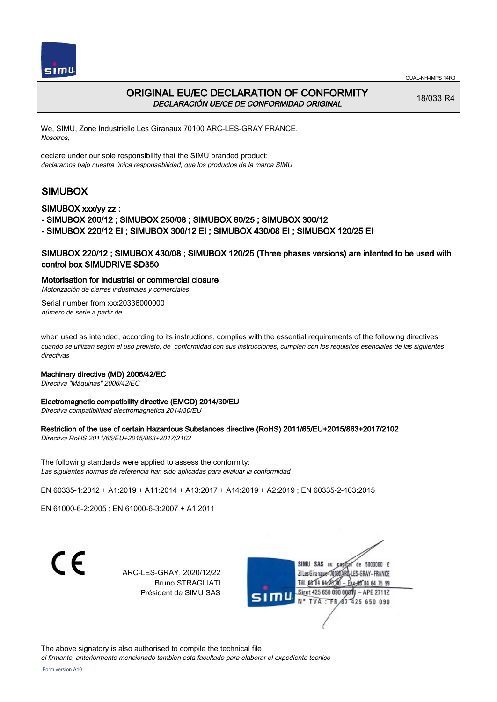



# ORIGINAL EU/EC DECLARATION OF CONFORMITY DECLARACIÓN UE/CE DE CONFORMIDAD ORIGINAL

18/033 R4

We, SIMU, Zone Industrielle Les Giranaux 70100 ARC-LES-GRAY FRANCE, Nosotros,

declare under our sole responsibility that the SIMU branded product: declaramos bajo nuestra única responsabilidad, que los productos de la marca SIMU

# SIMUBOX

#### SIMUBOX xxx/yy zz :

- SIMUBOX 200/12 ; SIMUBOX 250/08 ; SIMUBOX 80/25 ; SIMUBOX 300/12

- SIMUBOX 220/12 EI ; SIMUBOX 300/12 EI ; SIMUBOX 430/08 EI ; SIMUBOX 120/25 EI

## SIMUBOX 220/12 ; SIMUBOX 430/08 ; SIMUBOX 120/25 (Three phases versions) are intented to be used with control box SIMUDRIVE SD350

#### Motorisation for industrial or commercial closure

Motorización de cierres industriales y comerciales

Serial number from xxx20336000000 número de serie a partir de

when used as intended, according to its instructions, complies with the essential requirements of the following directives: cuando se utilizan según el uso previsto, de conformidad con sus instrucciones, cumplen con los requisitos esenciales de las siguientes directivas

#### Machinery directive (MD) 2006/42/EC

Directiva "Máquinas" 2006/42/EC

#### Electromagnetic compatibility directive (EMCD) 2014/30/EU

Directiva compatibilidad electromagnética 2014/30/EU

#### Restriction of the use of certain Hazardous Substances directive (RoHS) 2011/65/EU+2015/863+2017/2102

Directiva RoHS 2011/65/EU+2015/863+2017/2102

The following standards were applied to assess the conformity: Las siguientes normas de referencia han sido aplicadas para evaluar la conformidad

EN 60335‑1:2012 + A1:2019 + A11:2014 + A13:2017 + A14:2019 + A2:2019 ; EN 60335‑2‑103:2015

EN 61000‑6‑2:2005 ; EN 61000‑6‑3:2007 + A1:2011

C E

ARC-LES-GRAY, 2020/12/22 Bruno STRAGLIATI Président de SIMU SAS



The above signatory is also authorised to compile the technical file

el firmante, anteriormente mencionado tambien esta facultado para elaborar el expediente tecnico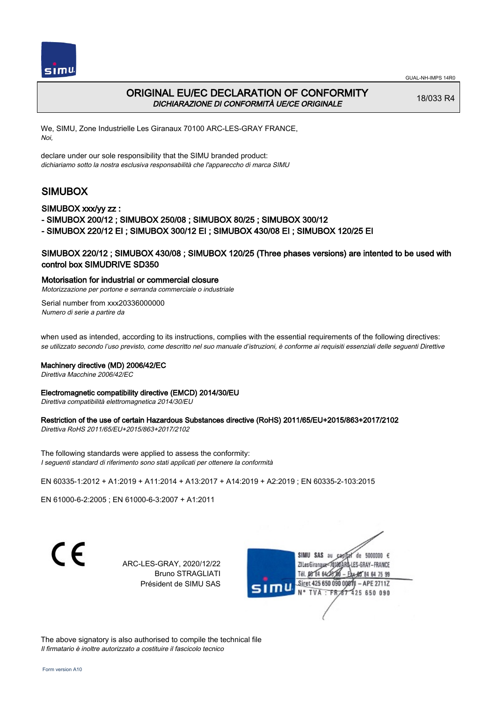



# ORIGINAL EU/EC DECLARATION OF CONFORMITY DICHIARAZIONE DI CONFORMITÀ UE/CE ORIGINALE

18/033 R4

We, SIMU, Zone Industrielle Les Giranaux 70100 ARC-LES-GRAY FRANCE, Noi,

declare under our sole responsibility that the SIMU branded product: dichiariamo sotto la nostra esclusiva responsabilità che l'appareccho di marca SIMU

# SIMUBOX

SIMUBOX xxx/yy zz :

- SIMUBOX 200/12 ; SIMUBOX 250/08 ; SIMUBOX 80/25 ; SIMUBOX 300/12

- SIMUBOX 220/12 EI ; SIMUBOX 300/12 EI ; SIMUBOX 430/08 EI ; SIMUBOX 120/25 EI

## SIMUBOX 220/12 ; SIMUBOX 430/08 ; SIMUBOX 120/25 (Three phases versions) are intented to be used with control box SIMUDRIVE SD350

Motorisation for industrial or commercial closure

Motorizzazione per portone e serranda commerciale o industriale

Serial number from xxx20336000000 Numero di serie a partire da

when used as intended, according to its instructions, complies with the essential requirements of the following directives: se utilizzato secondo l'uso previsto, come descritto nel suo manuale d'istruzioni, è conforme ai requisiti essenziali delle seguenti Direttive

#### Machinery directive (MD) 2006/42/EC

Direttiva Macchine 2006/42/EC

#### Electromagnetic compatibility directive (EMCD) 2014/30/EU

Direttiva compatibilità elettromagnetica 2014/30/EU

## Restriction of the use of certain Hazardous Substances directive (RoHS) 2011/65/EU+2015/863+2017/2102

Direttiva RoHS 2011/65/EU+2015/863+2017/2102

The following standards were applied to assess the conformity: I seguenti standard di riferimento sono stati applicati per ottenere la conformità

EN 60335‑1:2012 + A1:2019 + A11:2014 + A13:2017 + A14:2019 + A2:2019 ; EN 60335‑2‑103:2015

EN 61000‑6‑2:2005 ; EN 61000‑6‑3:2007 + A1:2011

 $\epsilon$ 

ARC-LES-GRAY, 2020/12/22 Bruno STRAGLIATI Président de SIMU SAS



The above signatory is also authorised to compile the technical file Il firmatario è inoltre autorizzato a costituire il fascicolo tecnico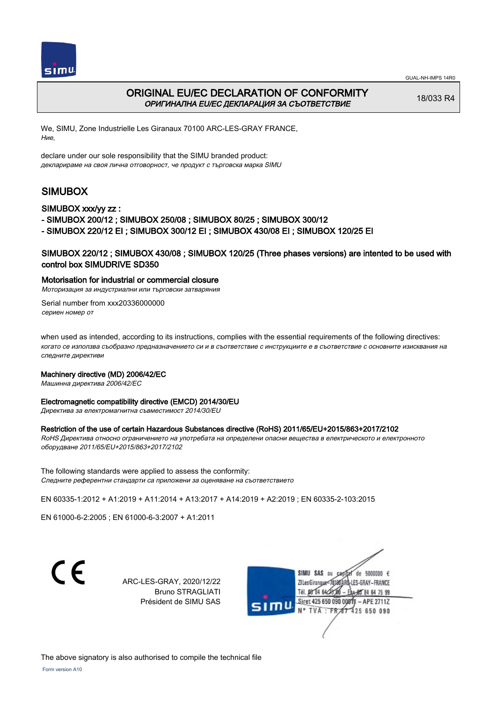



# ORIGINAL EU/EC DECLARATION OF CONFORMITY ОРИГИНАЛНА EU/EC ДЕКЛАРАЦИЯ ЗА СЪОТВЕТСТВИЕ

18/033 R4

We, SIMU, Zone Industrielle Les Giranaux 70100 ARC-LES-GRAY FRANCE, Ние,

declare under our sole responsibility that the SIMU branded product: декларираме на своя лична отговорност, че продукт с търговска марка SIMU

# SIMUBOX

#### SIMUBOX xxx/yy zz :

- SIMUBOX 200/12 ; SIMUBOX 250/08 ; SIMUBOX 80/25 ; SIMUBOX 300/12
- SIMUBOX 220/12 EI ; SIMUBOX 300/12 EI ; SIMUBOX 430/08 EI ; SIMUBOX 120/25 EI

## SIMUBOX 220/12 ; SIMUBOX 430/08 ; SIMUBOX 120/25 (Three phases versions) are intented to be used with control box SIMUDRIVE SD350

#### Motorisation for industrial or commercial closure

Моторизация за индустриални или търговски затваряния

Serial number from xxx20336000000 сериен номер от

when used as intended, according to its instructions, complies with the essential requirements of the following directives: когато се използва съобразно предназначението си и в съответствие с инструкциите е в съответствие с основните изисквания на следните директиви

#### Machinery directive (MD) 2006/42/EC

Машинна директива 2006/42/EC

#### Electromagnetic compatibility directive (EMCD) 2014/30/EU

Директива за електромагнитна съвместимост 2014/30/EU

#### Restriction of the use of certain Hazardous Substances directive (RoHS) 2011/65/EU+2015/863+2017/2102

RoHS Директива относно ограничението на употребата на определени опасни вещества в електрическото и електронното оборудване 2011/65/EU+2015/863+2017/2102

The following standards were applied to assess the conformity: Следните референтни стандарти са приложени за оценяване на съответствието

EN 60335‑1:2012 + A1:2019 + A11:2014 + A13:2017 + A14:2019 + A2:2019 ; EN 60335‑2‑103:2015

EN 61000‑6‑2:2005 ; EN 61000‑6‑3:2007 + A1:2011

C E

ARC-LES-GRAY, 2020/12/22 Bruno STRAGLIATI Président de SIMU SAS



Form version A10 The above signatory is also authorised to compile the technical file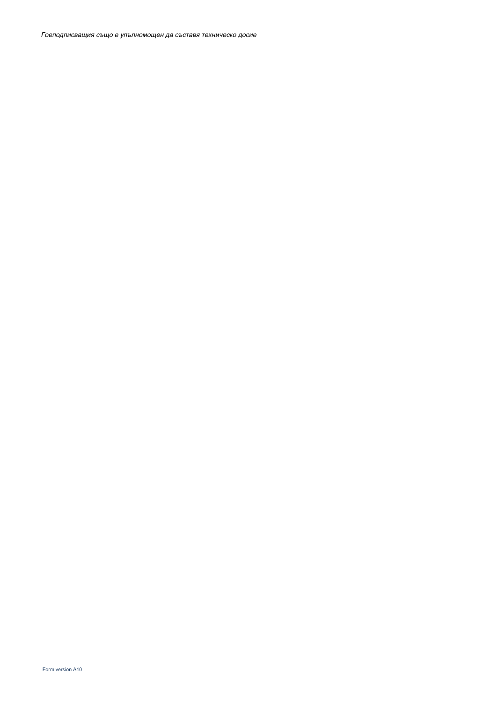Гоеподписващия също е упълномощен да съставя техническо досие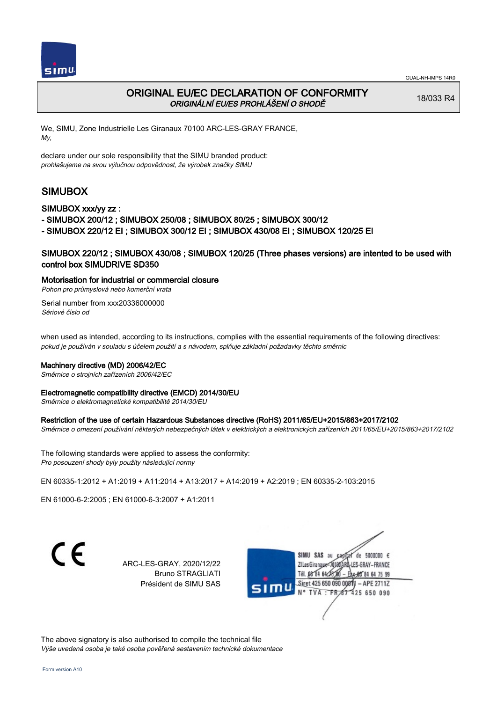

# ORIGINAL EU/EC DECLARATION OF CONFORMITY ORIGINÁLNÍ EU/ES PROHLÁŠENÍ O SHODĚ

18/033 R4

We, SIMU, Zone Industrielle Les Giranaux 70100 ARC-LES-GRAY FRANCE, My,

declare under our sole responsibility that the SIMU branded product: prohlašujeme na svou výlučnou odpovědnost, že výrobek značky SIMU

# SIMUBOX

### SIMUBOX xxx/yy zz :

- SIMUBOX 200/12 ; SIMUBOX 250/08 ; SIMUBOX 80/25 ; SIMUBOX 300/12
- SIMUBOX 220/12 EI ; SIMUBOX 300/12 EI ; SIMUBOX 430/08 EI ; SIMUBOX 120/25 EI

## SIMUBOX 220/12 ; SIMUBOX 430/08 ; SIMUBOX 120/25 (Three phases versions) are intented to be used with control box SIMUDRIVE SD350

#### Motorisation for industrial or commercial closure

Pohon pro průmyslová nebo komerční vrata

Serial number from xxx20336000000 Sériové číslo od

when used as intended, according to its instructions, complies with the essential requirements of the following directives: pokud je používán v souladu s účelem použití a s návodem, splňuje základní požadavky těchto směrnic

#### Machinery directive (MD) 2006/42/EC

Směrnice o strojních zařízeních 2006/42/EC

#### Electromagnetic compatibility directive (EMCD) 2014/30/EU

Směrnice o elektromagnetické kompatibilitě 2014/30/EU

#### Restriction of the use of certain Hazardous Substances directive (RoHS) 2011/65/EU+2015/863+2017/2102

Směrnice o omezení používání některých nebezpečných látek v elektrických a elektronických zařízeních 2011/65/EU+2015/863+2017/2102

The following standards were applied to assess the conformity: Pro posouzení shody byly použity následující normy

EN 60335‑1:2012 + A1:2019 + A11:2014 + A13:2017 + A14:2019 + A2:2019 ; EN 60335‑2‑103:2015

EN 61000‑6‑2:2005 ; EN 61000‑6‑3:2007 + A1:2011

ARC-LES-GRAY, 2020/12/22 Bruno STRAGLIATI Président de SIMU SAS



The above signatory is also authorised to compile the technical file Výše uvedená osoba je také osoba pověřená sestavením technické dokumentace

C F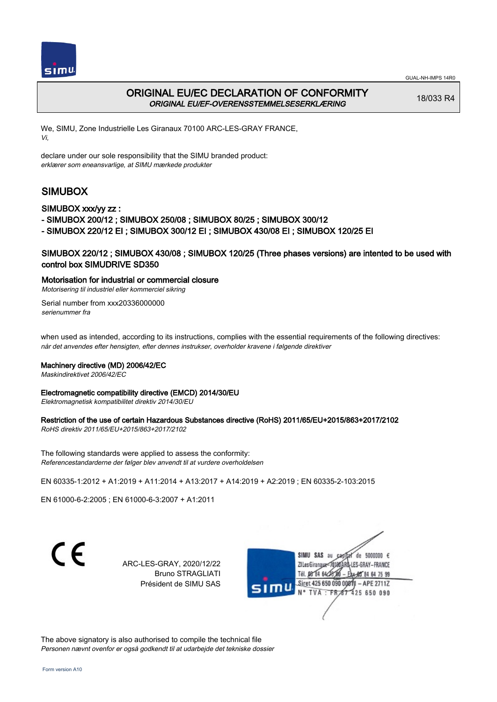



# ORIGINAL EU/EC DECLARATION OF CONFORMITY ORIGINAL EU/EF-OVERENSSTEMMELSESERKLÆRING

18/033 R4

We, SIMU, Zone Industrielle Les Giranaux 70100 ARC-LES-GRAY FRANCE, Vi,

declare under our sole responsibility that the SIMU branded product: erklærer som eneansvarlige, at SIMU mærkede produkter

# SIMUBOX

#### SIMUBOX xxx/yy zz :

- SIMUBOX 200/12 ; SIMUBOX 250/08 ; SIMUBOX 80/25 ; SIMUBOX 300/12

- SIMUBOX 220/12 EI ; SIMUBOX 300/12 EI ; SIMUBOX 430/08 EI ; SIMUBOX 120/25 EI

## SIMUBOX 220/12 ; SIMUBOX 430/08 ; SIMUBOX 120/25 (Three phases versions) are intented to be used with control box SIMUDRIVE SD350

#### Motorisation for industrial or commercial closure

Motorisering til industriel eller kommerciel sikring

Serial number from xxx20336000000 serienummer fra

when used as intended, according to its instructions, complies with the essential requirements of the following directives: når det anvendes efter hensigten, efter dennes instrukser, overholder kravene i følgende direktiver

#### Machinery directive (MD) 2006/42/EC

Maskindirektivet 2006/42/EC

#### Electromagnetic compatibility directive (EMCD) 2014/30/EU

Elektromagnetisk kompatibilitet direktiv 2014/30/EU

#### Restriction of the use of certain Hazardous Substances directive (RoHS) 2011/65/EU+2015/863+2017/2102

RoHS direktiv 2011/65/EU+2015/863+2017/2102

The following standards were applied to assess the conformity: Referencestandarderne der følger blev anvendt til at vurdere overholdelsen

EN 60335‑1:2012 + A1:2019 + A11:2014 + A13:2017 + A14:2019 + A2:2019 ; EN 60335‑2‑103:2015

EN 61000‑6‑2:2005 ; EN 61000‑6‑3:2007 + A1:2011

 $\epsilon$ 

ARC-LES-GRAY, 2020/12/22 Bruno STRAGLIATI Président de SIMU SAS



The above signatory is also authorised to compile the technical file Personen nævnt ovenfor er også godkendt til at udarbejde det tekniske dossier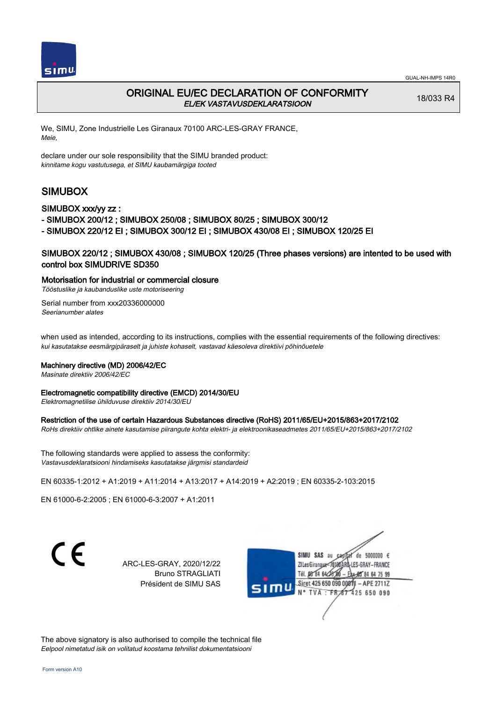

# ORIGINAL EU/EC DECLARATION OF CONFORMITY EL/EK VASTAVUSDEKLARATSIOON

18/033 R4

We, SIMU, Zone Industrielle Les Giranaux 70100 ARC-LES-GRAY FRANCE, Meie,

declare under our sole responsibility that the SIMU branded product: kinnitame kogu vastutusega, et SIMU kaubamärgiga tooted

# SIMUBOX

### SIMUBOX xxx/yy zz :

- SIMUBOX 200/12 ; SIMUBOX 250/08 ; SIMUBOX 80/25 ; SIMUBOX 300/12
- SIMUBOX 220/12 EI ; SIMUBOX 300/12 EI ; SIMUBOX 430/08 EI ; SIMUBOX 120/25 EI

## SIMUBOX 220/12 ; SIMUBOX 430/08 ; SIMUBOX 120/25 (Three phases versions) are intented to be used with control box SIMUDRIVE SD350

#### Motorisation for industrial or commercial closure

Tööstuslike ja kaubanduslike uste motoriseering

Serial number from xxx20336000000 Seerianumber alates

when used as intended, according to its instructions, complies with the essential requirements of the following directives: kui kasutatakse eesmärgipäraselt ja juhiste kohaselt, vastavad käesoleva direktiivi põhinõuetele

#### Machinery directive (MD) 2006/42/EC

Masinate direktiiv 2006/42/EC

#### Electromagnetic compatibility directive (EMCD) 2014/30/EU

Elektromagnetilise ühilduvuse direktiiv 2014/30/EU

#### Restriction of the use of certain Hazardous Substances directive (RoHS) 2011/65/EU+2015/863+2017/2102

RoHs direktiiv ohtlike ainete kasutamise piirangute kohta elektri- ja elektroonikaseadmetes 2011/65/EU+2015/863+2017/2102

The following standards were applied to assess the conformity: Vastavusdeklaratsiooni hindamiseks kasutatakse järgmisi standardeid

EN 60335‑1:2012 + A1:2019 + A11:2014 + A13:2017 + A14:2019 + A2:2019 ; EN 60335‑2‑103:2015

EN 61000‑6‑2:2005 ; EN 61000‑6‑3:2007 + A1:2011

C F

ARC-LES-GRAY, 2020/12/22 Bruno STRAGLIATI Président de SIMU SAS



The above signatory is also authorised to compile the technical file Eelpool nimetatud isik on volitatud koostama tehnilist dokumentatsiooni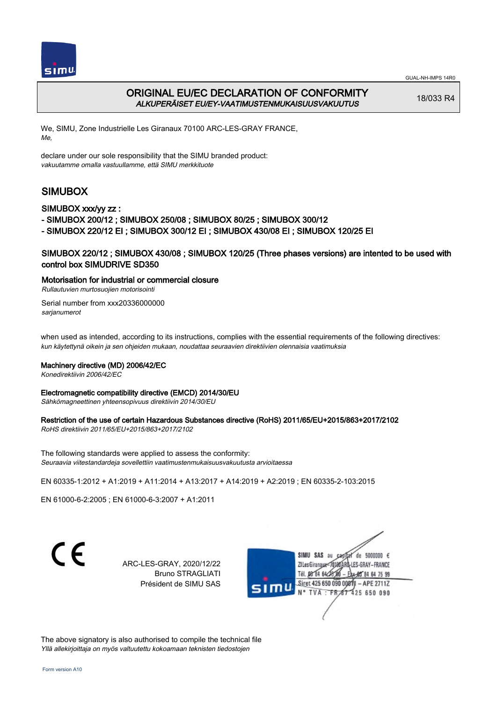



# ORIGINAL EU/EC DECLARATION OF CONFORMITY ALKUPERÄISET EU/EY-VAATIMUSTENMUKAISUUSVAKUUTUS

18/033 R4

We, SIMU, Zone Industrielle Les Giranaux 70100 ARC-LES-GRAY FRANCE, Me,

declare under our sole responsibility that the SIMU branded product: vakuutamme omalla vastuullamme, että SIMU merkkituote

# SIMUBOX

#### SIMUBOX xxx/yy zz :

- SIMUBOX 200/12 ; SIMUBOX 250/08 ; SIMUBOX 80/25 ; SIMUBOX 300/12

- SIMUBOX 220/12 EI ; SIMUBOX 300/12 EI ; SIMUBOX 430/08 EI ; SIMUBOX 120/25 EI

## SIMUBOX 220/12 ; SIMUBOX 430/08 ; SIMUBOX 120/25 (Three phases versions) are intented to be used with control box SIMUDRIVE SD350

#### Motorisation for industrial or commercial closure

Rullautuvien murtosuojien motorisointi

Serial number from xxx20336000000 sarianumerot

when used as intended, according to its instructions, complies with the essential requirements of the following directives: kun käytettynä oikein ja sen ohjeiden mukaan, noudattaa seuraavien direktiivien olennaisia vaatimuksia

#### Machinery directive (MD) 2006/42/EC

Konedirektiivin 2006/42/EC

#### Electromagnetic compatibility directive (EMCD) 2014/30/EU

Sähkömagneettinen yhteensopivuus direktiivin 2014/30/EU

## Restriction of the use of certain Hazardous Substances directive (RoHS) 2011/65/EU+2015/863+2017/2102

RoHS direktiivin 2011/65/EU+2015/863+2017/2102

The following standards were applied to assess the conformity: Seuraavia viitestandardeja sovellettiin vaatimustenmukaisuusvakuutusta arvioitaessa

EN 60335‑1:2012 + A1:2019 + A11:2014 + A13:2017 + A14:2019 + A2:2019 ; EN 60335‑2‑103:2015

EN 61000‑6‑2:2005 ; EN 61000‑6‑3:2007 + A1:2011

 $\epsilon$ 

ARC-LES-GRAY, 2020/12/22 Bruno STRAGLIATI Président de SIMU SAS



The above signatory is also authorised to compile the technical file Yllä allekirjoittaja on myös valtuutettu kokoamaan teknisten tiedostojen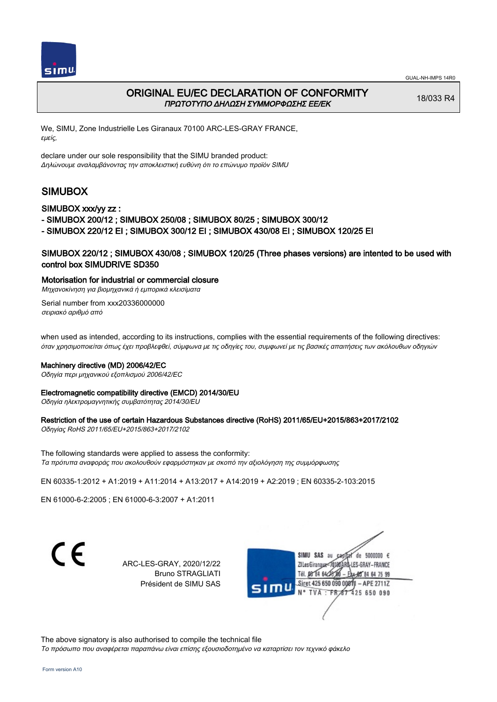



# ORIGINAL EU/EC DECLARATION OF CONFORMITY ΠΡΩΤΟΤΥΠΟ ΔΗΛΩΣΗ ΣΥΜΜΟΡΦΩΣΗΣ ΕΕ/EK

18/033 R4

We, SIMU, Zone Industrielle Les Giranaux 70100 ARC-LES-GRAY FRANCE, εμείς,

declare under our sole responsibility that the SIMU branded product: Δηλώνουμε αναλαμβάνοντας την αποκλειστική ευθύνη ότι το επώνυμο προϊόν SIMU

# SIMUBOX

#### SIMUBOX xxx/yy zz :

- SIMUBOX 200/12 ; SIMUBOX 250/08 ; SIMUBOX 80/25 ; SIMUBOX 300/12

- SIMUBOX 220/12 EI ; SIMUBOX 300/12 EI ; SIMUBOX 430/08 EI ; SIMUBOX 120/25 EI

### SIMUBOX 220/12 ; SIMUBOX 430/08 ; SIMUBOX 120/25 (Three phases versions) are intented to be used with control box SIMUDRIVE SD350

#### Motorisation for industrial or commercial closure

Μηχανοκίνηση για βιομηχανικά ή εμπορικά κλεισίματα

Serial number from xxx20336000000 σειριακό αριθμό από

when used as intended, according to its instructions, complies with the essential requirements of the following directives: όταν χρησιμοποιείται όπως έχει προβλεφθεί, σύμφωνα με τις οδηγίες του, συμφωνεί με τις βασικές απαιτήσεις των ακόλουθων οδηγιών

#### Machinery directive (MD) 2006/42/EC

Οδηγία περι μηχανικού εξοπλισμού 2006/42/EC

#### Electromagnetic compatibility directive (EMCD) 2014/30/EU

Οδηγία ηλεκτρομαγνητικής συμβατότητας 2014/30/EU

#### Restriction of the use of certain Hazardous Substances directive (RoHS) 2011/65/EU+2015/863+2017/2102

Οδηγίας RoHS 2011/65/EU+2015/863+2017/2102

The following standards were applied to assess the conformity: Τα πρότυπα αναφοράς που ακολουθούν εφαρμόστηκαν με σκοπό την αξιολόγηση της συμμόρφωσης

EN 60335‑1:2012 + A1:2019 + A11:2014 + A13:2017 + A14:2019 + A2:2019 ; EN 60335‑2‑103:2015

EN 61000‑6‑2:2005 ; EN 61000‑6‑3:2007 + A1:2011

C E

ARC-LES-GRAY, 2020/12/22 Bruno STRAGLIATI Président de SIMU SAS



The above signatory is also authorised to compile the technical file Το πρόσωπο που αναφέρεται παραπάνω είναι επίσης εξουσιοδοτημένο να καταρτίσει τον τεχνικό φάκελο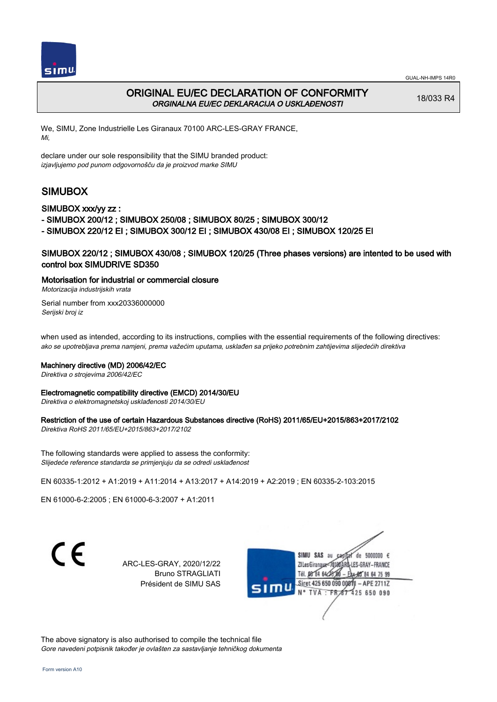



# ORIGINAL EU/EC DECLARATION OF CONFORMITY ORGINALNA EU/EC DEKLARACIJA O USKLAĐENOSTI

18/033 R4

We, SIMU, Zone Industrielle Les Giranaux 70100 ARC-LES-GRAY FRANCE, Mi,

declare under our sole responsibility that the SIMU branded product: izjavljujemo pod punom odgovornošču da je proizvod marke SIMU

# SIMUBOX

### SIMUBOX xxx/yy zz :

- SIMUBOX 200/12 ; SIMUBOX 250/08 ; SIMUBOX 80/25 ; SIMUBOX 300/12

- SIMUBOX 220/12 EI ; SIMUBOX 300/12 EI ; SIMUBOX 430/08 EI ; SIMUBOX 120/25 EI

### SIMUBOX 220/12 ; SIMUBOX 430/08 ; SIMUBOX 120/25 (Three phases versions) are intented to be used with control box SIMUDRIVE SD350

Motorisation for industrial or commercial closure

Motorizacija industrijskih vrata

Serial number from xxx20336000000 Serijski broj iz

when used as intended, according to its instructions, complies with the essential requirements of the following directives: ako se upotrebljava prema namjeni, prema važećim uputama, usklađen sa prijeko potrebnim zahtijevima slijedećih direktiva

#### Machinery directive (MD) 2006/42/EC

Direktiva o strojevima 2006/42/EC

#### Electromagnetic compatibility directive (EMCD) 2014/30/EU

Direktiva o elektromagnetskoj usklađenosti 2014/30/EU

#### Restriction of the use of certain Hazardous Substances directive (RoHS) 2011/65/EU+2015/863+2017/2102

Direktiva RoHS 2011/65/EU+2015/863+2017/2102

The following standards were applied to assess the conformity: Slijedeće reference standarda se primjenjuju da se odredi usklađenost

EN 60335‑1:2012 + A1:2019 + A11:2014 + A13:2017 + A14:2019 + A2:2019 ; EN 60335‑2‑103:2015

EN 61000‑6‑2:2005 ; EN 61000‑6‑3:2007 + A1:2011

ARC-LES-GRAY, 2020/12/22 Bruno STRAGLIATI Président de SIMU SAS



The above signatory is also authorised to compile the technical file Gore navedeni potpisnik također je ovlašten za sastavljanje tehničkog dokumenta

C F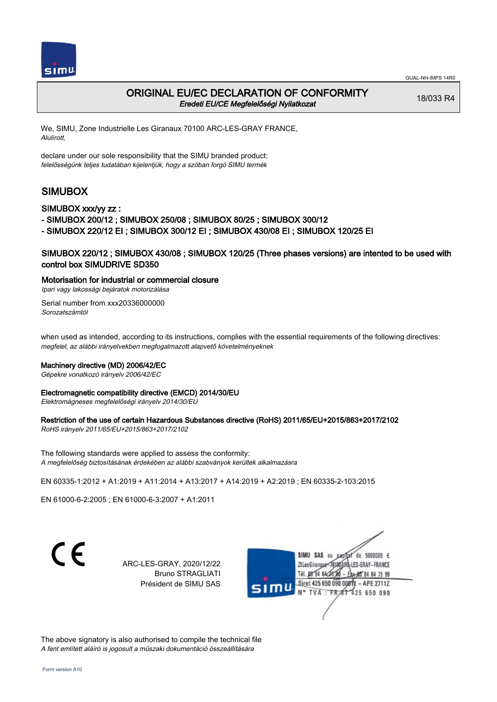

# ORIGINAL EU/EC DECLARATION OF CONFORMITY Eredeti EU/CE Megfelelőségi Nyilatkozat

18/033 R4

We, SIMU, Zone Industrielle Les Giranaux 70100 ARC-LES-GRAY FRANCE, Alulírott,

declare under our sole responsibility that the SIMU branded product: felelősségünk teljes tudatában kijelentjük, hogy a szóban forgó SIMU termék

# SIMUBOX

SIMUBOX xxx/yy zz :

- SIMUBOX 200/12 ; SIMUBOX 250/08 ; SIMUBOX 80/25 ; SIMUBOX 300/12

- SIMUBOX 220/12 EI ; SIMUBOX 300/12 EI ; SIMUBOX 430/08 EI ; SIMUBOX 120/25 EI

## SIMUBOX 220/12 ; SIMUBOX 430/08 ; SIMUBOX 120/25 (Three phases versions) are intented to be used with control box SIMUDRIVE SD350

Motorisation for industrial or commercial closure

Ipari vagy lakossági bejáratok motorizálása

Serial number from xxx20336000000 Sorozatszámtól

when used as intended, according to its instructions, complies with the essential requirements of the following directives: megfelel, az alábbi irányelvekben megfogalmazott alapvető követelményeknek

#### Machinery directive (MD) 2006/42/EC

Gépekre vonatkozó irányelv 2006/42/EC

#### Electromagnetic compatibility directive (EMCD) 2014/30/EU

Elektromágneses megfelelőségi irányelv 2014/30/EU

#### Restriction of the use of certain Hazardous Substances directive (RoHS) 2011/65/EU+2015/863+2017/2102

RoHS irányelv 2011/65/EU+2015/863+2017/2102

The following standards were applied to assess the conformity: A megfelelőség biztosításának érdekében az alábbi szabványok kerültek alkalmazásra

EN 60335‑1:2012 + A1:2019 + A11:2014 + A13:2017 + A14:2019 + A2:2019 ; EN 60335‑2‑103:2015

EN 61000‑6‑2:2005 ; EN 61000‑6‑3:2007 + A1:2011

C F

ARC-LES-GRAY, 2020/12/22 Bruno STRAGLIATI Président de SIMU SAS



The above signatory is also authorised to compile the technical file A fent említett aláíró is jogosult a műszaki dokumentáció összeállítására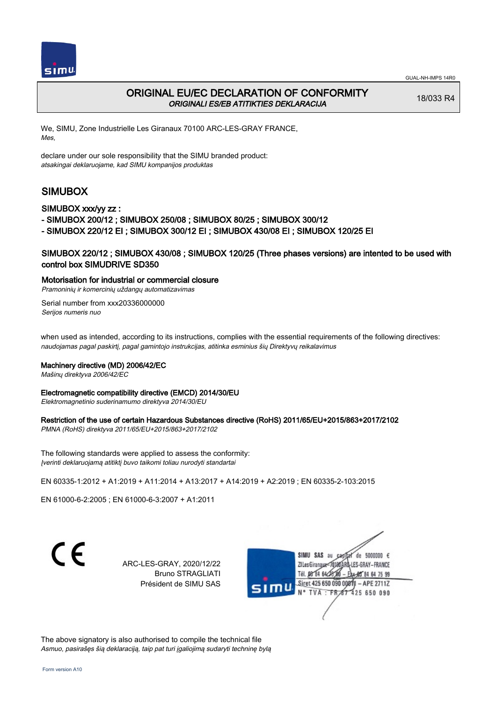



## ORIGINAL EU/EC DECLARATION OF CONFORMITY ORIGINALI ES/EB ATITIKTIES DEKLARACIJA

18/033 R4

We, SIMU, Zone Industrielle Les Giranaux 70100 ARC-LES-GRAY FRANCE, Mes,

declare under our sole responsibility that the SIMU branded product: atsakingai deklaruojame, kad SIMU kompanijos produktas

# SIMUBOX

#### SIMUBOX xxx/yy zz :

- SIMUBOX 200/12 ; SIMUBOX 250/08 ; SIMUBOX 80/25 ; SIMUBOX 300/12
- SIMUBOX 220/12 EI ; SIMUBOX 300/12 EI ; SIMUBOX 430/08 EI ; SIMUBOX 120/25 EI

### SIMUBOX 220/12 ; SIMUBOX 430/08 ; SIMUBOX 120/25 (Three phases versions) are intented to be used with control box SIMUDRIVE SD350

#### Motorisation for industrial or commercial closure

Pramoninių ir komercinių uždangų automatizavimas

Serial number from xxx20336000000 Serijos numeris nuo

when used as intended, according to its instructions, complies with the essential requirements of the following directives: naudojamas pagal paskirtį, pagal gamintojo instrukcijas, atitinka esminius šių Direktyvų reikalavimus

#### Machinery directive (MD) 2006/42/EC

Mašinų direktyva 2006/42/EC

#### Electromagnetic compatibility directive (EMCD) 2014/30/EU

Elektromagnetinio suderinamumo direktyva 2014/30/EU

#### Restriction of the use of certain Hazardous Substances directive (RoHS) 2011/65/EU+2015/863+2017/2102

PMNA (RoHS) direktyva 2011/65/EU+2015/863+2017/2102

The following standards were applied to assess the conformity: Įverinti deklaruojamą atitiktį buvo taikomi toliau nurodyti standartai

EN 60335‑1:2012 + A1:2019 + A11:2014 + A13:2017 + A14:2019 + A2:2019 ; EN 60335‑2‑103:2015

EN 61000‑6‑2:2005 ; EN 61000‑6‑3:2007 + A1:2011

ARC-LES-GRAY, 2020/12/22 Bruno STRAGLIATI Président de SIMU SAS



The above signatory is also authorised to compile the technical file Asmuo, pasirašęs šią deklaraciją, taip pat turi įgaliojimą sudaryti techninę bylą

C F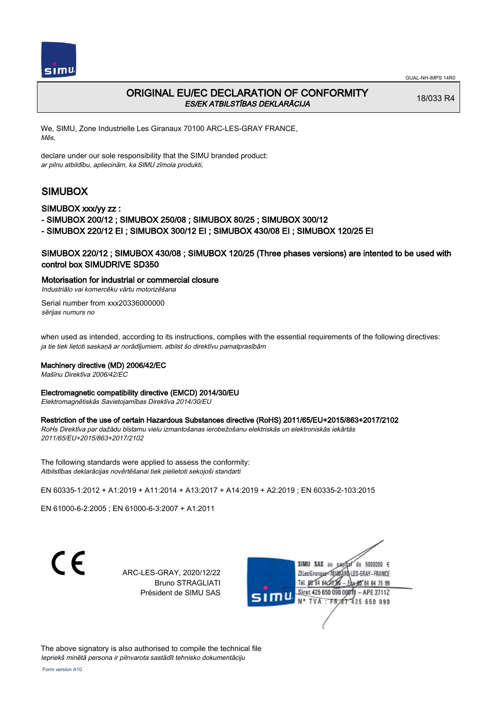



## ORIGINAL EU/EC DECLARATION OF CONFORMITY ES/EK ATBILSTĪBAS DEKLARĀCIJA

18/033 R4

We, SIMU, Zone Industrielle Les Giranaux 70100 ARC-LES-GRAY FRANCE, Mēs,

declare under our sole responsibility that the SIMU branded product: ar pilnu atbildību, apliecinām, ka SIMU zīmola produkti,

# SIMUBOX

### SIMUBOX xxx/yy zz :

- SIMUBOX 200/12 ; SIMUBOX 250/08 ; SIMUBOX 80/25 ; SIMUBOX 300/12

- SIMUBOX 220/12 EI ; SIMUBOX 300/12 EI ; SIMUBOX 430/08 EI ; SIMUBOX 120/25 EI

## SIMUBOX 220/12 ; SIMUBOX 430/08 ; SIMUBOX 120/25 (Three phases versions) are intented to be used with control box SIMUDRIVE SD350

### Motorisation for industrial or commercial closure

Industriālo vai komercēku vārtu motorizēšana

Serial number from xxx20336000000 sērijas numurs no

when used as intended, according to its instructions, complies with the essential requirements of the following directives: ja tie tiek lietoti saskaņā ar norādījumiem, atbilst šo direktīvu pamatprasībām

#### Machinery directive (MD) 2006/42/EC

Mašīnu Direktīva 2006/42/EC

#### Electromagnetic compatibility directive (EMCD) 2014/30/EU

Elektromagnētiskās Savietojamības Direktīva 2014/30/EU

#### Restriction of the use of certain Hazardous Substances directive (RoHS) 2011/65/EU+2015/863+2017/2102

RoHs Direktīva par dažādu bīstamu vielu izmantošanas ierobežošanu elektriskās un elektroniskās iekārtās 2011/65/EU+2015/863+2017/2102

The following standards were applied to assess the conformity: Atbilstības deklarācijas novērtēšanai tiek pielietoti sekojoši standarti

EN 60335‑1:2012 + A1:2019 + A11:2014 + A13:2017 + A14:2019 + A2:2019 ; EN 60335‑2‑103:2015

EN 61000‑6‑2:2005 ; EN 61000‑6‑3:2007 + A1:2011

ARC-LES-GRAY, 2020/12/22 Bruno STRAGLIATI Président de SIMU SAS



The above signatory is also authorised to compile the technical file Iepriekš minētā persona ir pilnvarota sastādīt tehnisko dokumentāciju

C E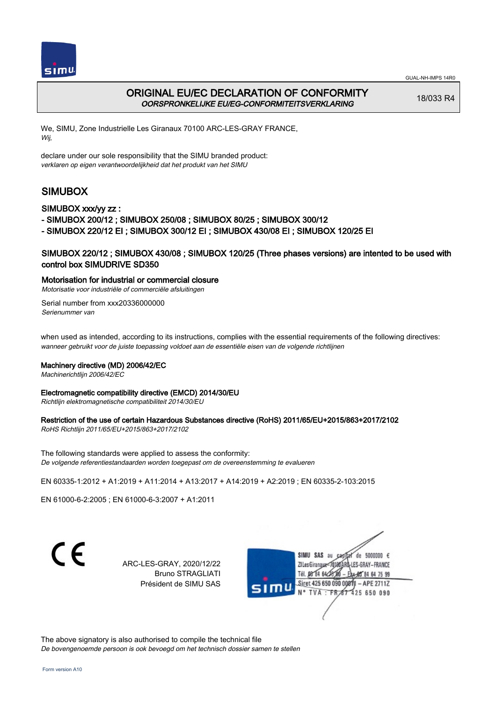



# ORIGINAL EU/EC DECLARATION OF CONFORMITY OORSPRONKELIJKE EU/EG-CONFORMITEITSVERKLARING

18/033 R4

We, SIMU, Zone Industrielle Les Giranaux 70100 ARC-LES-GRAY FRANCE, Wij,

declare under our sole responsibility that the SIMU branded product: verklaren op eigen verantwoordelijkheid dat het produkt van het SIMU

# SIMUBOX

### SIMUBOX xxx/yy zz :

- SIMUBOX 200/12 ; SIMUBOX 250/08 ; SIMUBOX 80/25 ; SIMUBOX 300/12
- SIMUBOX 220/12 EI ; SIMUBOX 300/12 EI ; SIMUBOX 430/08 EI ; SIMUBOX 120/25 EI

### SIMUBOX 220/12 ; SIMUBOX 430/08 ; SIMUBOX 120/25 (Three phases versions) are intented to be used with control box SIMUDRIVE SD350

#### Motorisation for industrial or commercial closure

Motorisatie voor industriële of commerciële afsluitingen

Serial number from xxx20336000000 Serienummer van

when used as intended, according to its instructions, complies with the essential requirements of the following directives: wanneer gebruikt voor de juiste toepassing voldoet aan de essentiële eisen van de volgende richtlijnen

#### Machinery directive (MD) 2006/42/EC

Machinerichtlijn 2006/42/EC

#### Electromagnetic compatibility directive (EMCD) 2014/30/EU

Richtlijn elektromagnetische compatibiliteit 2014/30/EU

#### Restriction of the use of certain Hazardous Substances directive (RoHS) 2011/65/EU+2015/863+2017/2102

RoHS Richtlijn 2011/65/EU+2015/863+2017/2102

The following standards were applied to assess the conformity: De volgende referentiestandaarden worden toegepast om de overeenstemming te evalueren

EN 60335‑1:2012 + A1:2019 + A11:2014 + A13:2017 + A14:2019 + A2:2019 ; EN 60335‑2‑103:2015

EN 61000‑6‑2:2005 ; EN 61000‑6‑3:2007 + A1:2011

C F

ARC-LES-GRAY, 2020/12/22 Bruno STRAGLIATI Président de SIMU SAS



The above signatory is also authorised to compile the technical file De bovengenoemde persoon is ook bevoegd om het technisch dossier samen te stellen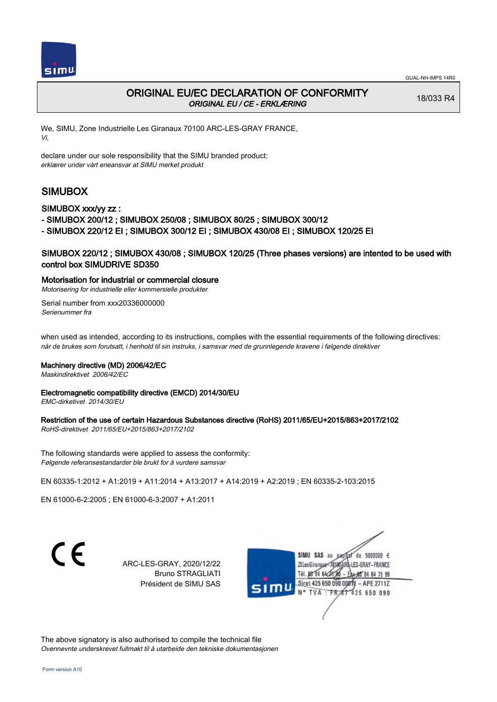

# ORIGINAL EU/EC DECLARATION OF CONFORMITY ORIGINAL EU / CE - ERKLÆRING

18/033 R4

We, SIMU, Zone Industrielle Les Giranaux 70100 ARC-LES-GRAY FRANCE, Vi,

declare under our sole responsibility that the SIMU branded product: erklærer under vårt eneansvar at SIMU merket produkt

# SIMUBOX

SIMUBOX xxx/yy zz :

- SIMUBOX 200/12 ; SIMUBOX 250/08 ; SIMUBOX 80/25 ; SIMUBOX 300/12

- SIMUBOX 220/12 EI ; SIMUBOX 300/12 EI ; SIMUBOX 430/08 EI ; SIMUBOX 120/25 EI

## SIMUBOX 220/12 ; SIMUBOX 430/08 ; SIMUBOX 120/25 (Three phases versions) are intented to be used with control box SIMUDRIVE SD350

#### Motorisation for industrial or commercial closure

Motorisering for industrielle eller kommersielle produkter

Serial number from xxx20336000000 Serienummer fra

when used as intended, according to its instructions, complies with the essential requirements of the following directives: når de brukes som forutsatt, i henhold til sin instruks, i samsvar med de grunnlegende kravene i følgende direktiver

#### Machinery directive (MD) 2006/42/EC

Maskindirektivet 2006/42/EC

## Electromagnetic compatibility directive (EMCD) 2014/30/EU

EMC-dirketivet 2014/30/EU

### Restriction of the use of certain Hazardous Substances directive (RoHS) 2011/65/EU+2015/863+2017/2102

RoHS-direktivet 2011/65/EU+2015/863+2017/2102

The following standards were applied to assess the conformity: Følgende referansestandarder ble brukt for å vurdere samsvar

EN 60335‑1:2012 + A1:2019 + A11:2014 + A13:2017 + A14:2019 + A2:2019 ; EN 60335‑2‑103:2015

EN 61000‑6‑2:2005 ; EN 61000‑6‑3:2007 + A1:2011

 $\epsilon$ 

ARC-LES-GRAY, 2020/12/22 Bruno STRAGLIATI Président de SIMU SAS



The above signatory is also authorised to compile the technical file Ovennevnte underskrevet fullmakt til å utarbeide den tekniske dokumentasjonen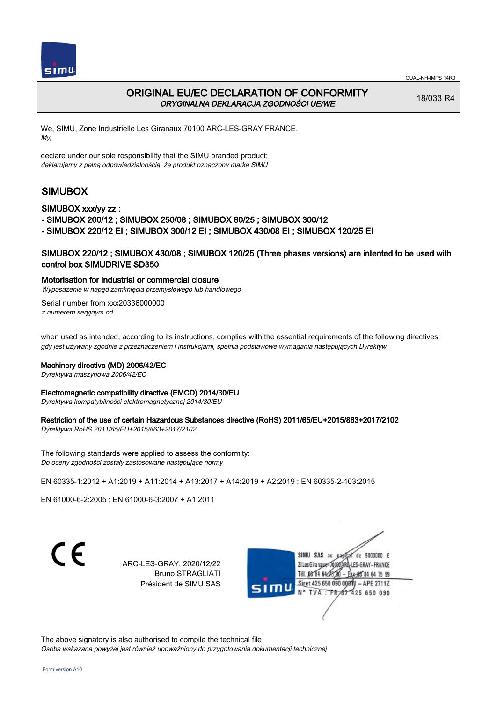



# ORIGINAL EU/EC DECLARATION OF CONFORMITY ORYGINALNA DEKLARACJA ZGODNOŚCI UE/WE

18/033 R4

We, SIMU, Zone Industrielle Les Giranaux 70100 ARC-LES-GRAY FRANCE, My,

declare under our sole responsibility that the SIMU branded product: deklarujemy z pełną odpowiedzialnością, że produkt oznaczony marką SIMU

# SIMUBOX

#### SIMUBOX xxx/yy zz :

- SIMUBOX 200/12 ; SIMUBOX 250/08 ; SIMUBOX 80/25 ; SIMUBOX 300/12
- SIMUBOX 220/12 EI ; SIMUBOX 300/12 EI ; SIMUBOX 430/08 EI ; SIMUBOX 120/25 EI

## SIMUBOX 220/12 ; SIMUBOX 430/08 ; SIMUBOX 120/25 (Three phases versions) are intented to be used with control box SIMUDRIVE SD350

## Motorisation for industrial or commercial closure

Wyposażenie w napęd zamknięcia przemysłowego lub handlowego

Serial number from xxx20336000000 z numerem seryjnym od

when used as intended, according to its instructions, complies with the essential requirements of the following directives: gdy jest używany zgodnie z przeznaczeniem i instrukcjami, spełnia podstawowe wymagania następujących Dyrektyw

#### Machinery directive (MD) 2006/42/EC

Dyrektywa maszynowa 2006/42/EC

#### Electromagnetic compatibility directive (EMCD) 2014/30/EU

Dyrektywa kompatybilności elektromagnetycznej 2014/30/EU

### Restriction of the use of certain Hazardous Substances directive (RoHS) 2011/65/EU+2015/863+2017/2102

Dyrektywa RoHS 2011/65/EU+2015/863+2017/2102

The following standards were applied to assess the conformity: Do oceny zgodności zostały zastosowane następujące normy

EN 60335‑1:2012 + A1:2019 + A11:2014 + A13:2017 + A14:2019 + A2:2019 ; EN 60335‑2‑103:2015

EN 61000‑6‑2:2005 ; EN 61000‑6‑3:2007 + A1:2011

ARC-LES-GRAY, 2020/12/22 Bruno STRAGLIATI Président de SIMU SAS



The above signatory is also authorised to compile the technical file Osoba wskazana powyżej jest również upoważniony do przygotowania dokumentacji technicznej

C F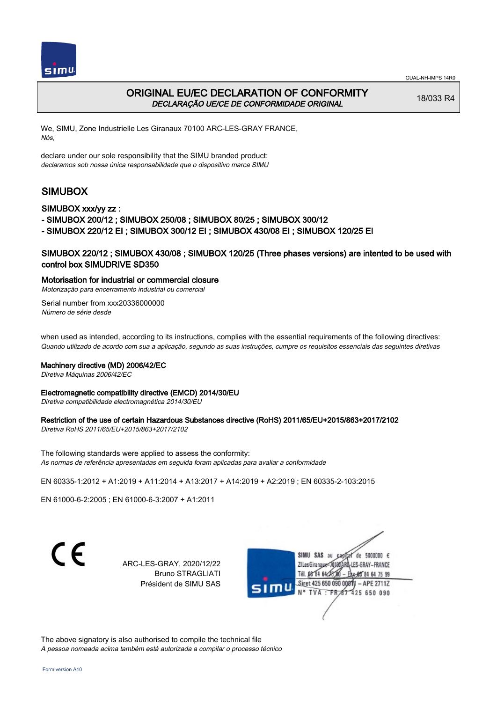



## ORIGINAL EU/EC DECLARATION OF CONFORMITY DECLARAÇÃO UE/CE DE CONFORMIDADE ORIGINAL

18/033 R4

We, SIMU, Zone Industrielle Les Giranaux 70100 ARC-LES-GRAY FRANCE, Nós,

declare under our sole responsibility that the SIMU branded product: declaramos sob nossa única responsabilidade que o dispositivo marca SIMU

# SIMUBOX

#### SIMUBOX xxx/yy zz :

- SIMUBOX 200/12 ; SIMUBOX 250/08 ; SIMUBOX 80/25 ; SIMUBOX 300/12
- SIMUBOX 220/12 EI ; SIMUBOX 300/12 EI ; SIMUBOX 430/08 EI ; SIMUBOX 120/25 EI

### SIMUBOX 220/12 ; SIMUBOX 430/08 ; SIMUBOX 120/25 (Three phases versions) are intented to be used with control box SIMUDRIVE SD350

#### Motorisation for industrial or commercial closure

Motorização para encerramento industrial ou comercial

Serial number from xxx20336000000 Número de série desde

when used as intended, according to its instructions, complies with the essential requirements of the following directives: Quando utilizado de acordo com sua a aplicação, segundo as suas instruções, cumpre os requisitos essenciais das seguintes diretivas

#### Machinery directive (MD) 2006/42/EC

Diretiva Máquinas 2006/42/EC

#### Electromagnetic compatibility directive (EMCD) 2014/30/EU

Diretiva compatibilidade electromagnética 2014/30/EU

#### Restriction of the use of certain Hazardous Substances directive (RoHS) 2011/65/EU+2015/863+2017/2102

Diretiva RoHS 2011/65/EU+2015/863+2017/2102

The following standards were applied to assess the conformity: As normas de referência apresentadas em seguida foram aplicadas para avaliar a conformidade

EN 60335‑1:2012 + A1:2019 + A11:2014 + A13:2017 + A14:2019 + A2:2019 ; EN 60335‑2‑103:2015

EN 61000‑6‑2:2005 ; EN 61000‑6‑3:2007 + A1:2011

C F

ARC-LES-GRAY, 2020/12/22 Bruno STRAGLIATI Président de SIMU SAS



The above signatory is also authorised to compile the technical file A pessoa nomeada acima também está autorizada a compilar o processo técnico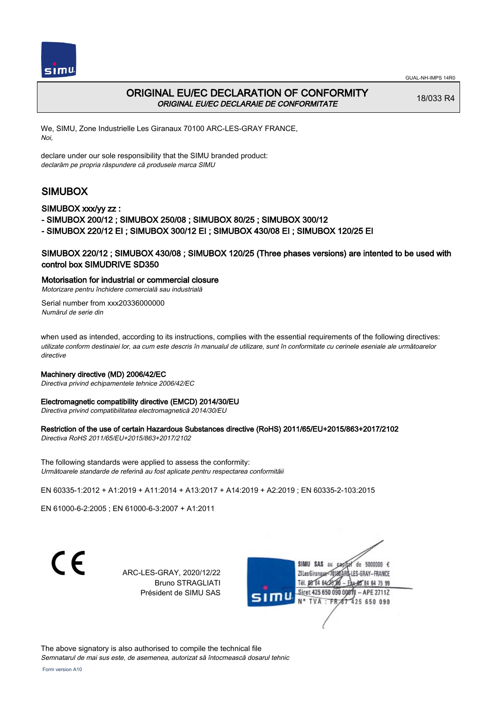



# ORIGINAL EU/EC DECLARATION OF CONFORMITY ORIGINAL EU/EC DECLARAIE DE CONFORMITATE

18/033 R4

We, SIMU, Zone Industrielle Les Giranaux 70100 ARC-LES-GRAY FRANCE, Noi,

declare under our sole responsibility that the SIMU branded product: declarăm pe propria răspundere că produsele marca SIMU

# SIMUBOX

### SIMUBOX xxx/yy zz :

- SIMUBOX 200/12 ; SIMUBOX 250/08 ; SIMUBOX 80/25 ; SIMUBOX 300/12

- SIMUBOX 220/12 EI ; SIMUBOX 300/12 EI ; SIMUBOX 430/08 EI ; SIMUBOX 120/25 EI

## SIMUBOX 220/12 ; SIMUBOX 430/08 ; SIMUBOX 120/25 (Three phases versions) are intented to be used with control box SIMUDRIVE SD350

#### Motorisation for industrial or commercial closure

Motorizare pentru închidere comercială sau industrială

Serial number from xxx20336000000 Numărul de serie din

when used as intended, according to its instructions, complies with the essential requirements of the following directives: utilizate conform destinaiei lor, aa cum este descris în manualul de utilizare, sunt în conformitate cu cerinele eseniale ale următoarelor directive

#### Machinery directive (MD) 2006/42/EC

Directiva privind echipamentele tehnice 2006/42/EC

#### Electromagnetic compatibility directive (EMCD) 2014/30/EU

Directiva privind compatibilitatea electromagnetică 2014/30/EU

#### Restriction of the use of certain Hazardous Substances directive (RoHS) 2011/65/EU+2015/863+2017/2102

Directiva RoHS 2011/65/EU+2015/863+2017/2102

The following standards were applied to assess the conformity: Următoarele standarde de referină au fost aplicate pentru respectarea conformităii

EN 60335‑1:2012 + A1:2019 + A11:2014 + A13:2017 + A14:2019 + A2:2019 ; EN 60335‑2‑103:2015

EN 61000‑6‑2:2005 ; EN 61000‑6‑3:2007 + A1:2011

C E

ARC-LES-GRAY, 2020/12/22 Bruno STRAGLIATI Président de SIMU SAS



The above signatory is also authorised to compile the technical file

Semnatarul de mai sus este, de asemenea, autorizat să întocmească dosarul tehnic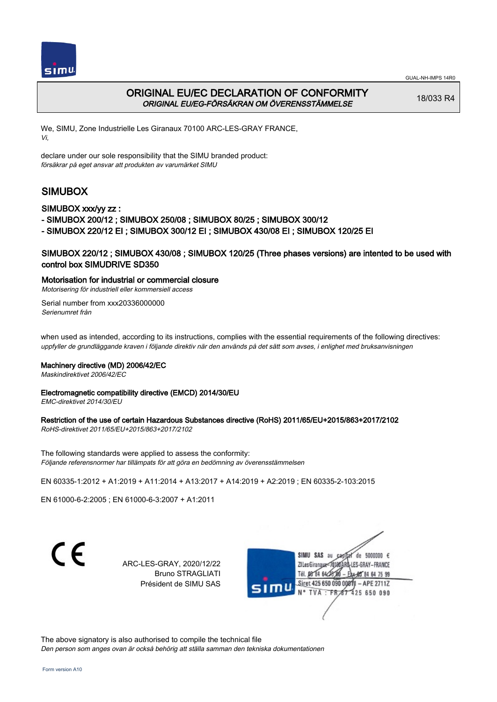



# ORIGINAL EU/EC DECLARATION OF CONFORMITY ORIGINAL EU/EG-FÖRSÄKRAN OM ÖVERENSSTÄMMELSE

18/033 R4

We, SIMU, Zone Industrielle Les Giranaux 70100 ARC-LES-GRAY FRANCE, Vi,

declare under our sole responsibility that the SIMU branded product: försäkrar på eget ansvar att produkten av varumärket SIMU

# SIMUBOX

#### SIMUBOX xxx/yy zz :

- SIMUBOX 200/12 ; SIMUBOX 250/08 ; SIMUBOX 80/25 ; SIMUBOX 300/12
- SIMUBOX 220/12 EI ; SIMUBOX 300/12 EI ; SIMUBOX 430/08 EI ; SIMUBOX 120/25 EI

### SIMUBOX 220/12 ; SIMUBOX 430/08 ; SIMUBOX 120/25 (Three phases versions) are intented to be used with control box SIMUDRIVE SD350

#### Motorisation for industrial or commercial closure

Motorisering för industriell eller kommersiell access

Serial number from xxx20336000000 Serienumret från

when used as intended, according to its instructions, complies with the essential requirements of the following directives: uppfyller de grundläggande kraven i följande direktiv när den används på det sätt som avses, i enlighet med bruksanvisningen

#### Machinery directive (MD) 2006/42/EC

Maskindirektivet 2006/42/EC

#### Electromagnetic compatibility directive (EMCD) 2014/30/EU

EMC-direktivet 2014/30/EU

#### Restriction of the use of certain Hazardous Substances directive (RoHS) 2011/65/EU+2015/863+2017/2102

RoHS-direktivet 2011/65/EU+2015/863+2017/2102

The following standards were applied to assess the conformity: Följande referensnormer har tillämpats för att göra en bedömning av överensstämmelsen

EN 60335‑1:2012 + A1:2019 + A11:2014 + A13:2017 + A14:2019 + A2:2019 ; EN 60335‑2‑103:2015

EN 61000‑6‑2:2005 ; EN 61000‑6‑3:2007 + A1:2011

 $\epsilon$ 

ARC-LES-GRAY, 2020/12/22 Bruno STRAGLIATI Président de SIMU SAS



The above signatory is also authorised to compile the technical file Den person som anges ovan är också behörig att ställa samman den tekniska dokumentationen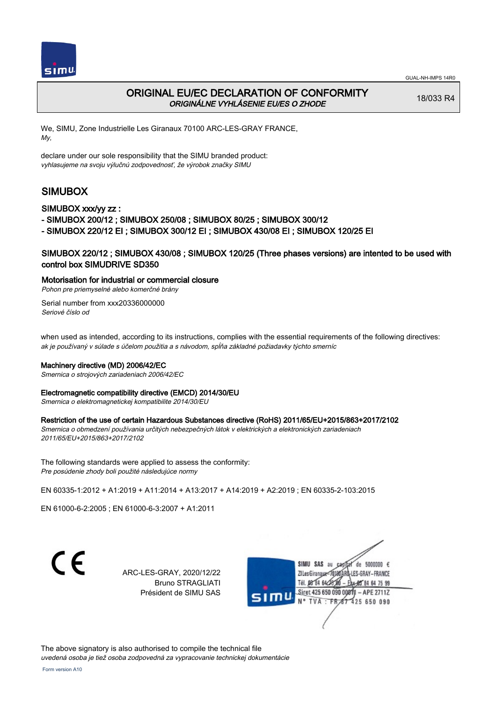

# ORIGINAL EU/EC DECLARATION OF CONFORMITY ORIGINÁLNE VYHLÁSENIE EU/ES O ZHODE

18/033 R4

We, SIMU, Zone Industrielle Les Giranaux 70100 ARC-LES-GRAY FRANCE, My,

declare under our sole responsibility that the SIMU branded product: vyhlasujeme na svoju výlučnú zodpovednosť, že výrobok značky SIMU

# SIMUBOX

### SIMUBOX xxx/yy zz :

- SIMUBOX 200/12 ; SIMUBOX 250/08 ; SIMUBOX 80/25 ; SIMUBOX 300/12

- SIMUBOX 220/12 EI ; SIMUBOX 300/12 EI ; SIMUBOX 430/08 EI ; SIMUBOX 120/25 EI

## SIMUBOX 220/12 ; SIMUBOX 430/08 ; SIMUBOX 120/25 (Three phases versions) are intented to be used with control box SIMUDRIVE SD350

#### Motorisation for industrial or commercial closure

Pohon pre priemyselné alebo komerčné brány

Serial number from xxx20336000000 Seriové číslo od

when used as intended, according to its instructions, complies with the essential requirements of the following directives: ak je používaný v súlade s účelom použitia a s návodom, spĺňa základné požiadavky týchto smerníc

#### Machinery directive (MD) 2006/42/EC

Smernica o strojových zariadeniach 2006/42/EC

#### Electromagnetic compatibility directive (EMCD) 2014/30/EU

Smernica o elektromagnetickej kompatibilite 2014/30/EU

#### Restriction of the use of certain Hazardous Substances directive (RoHS) 2011/65/EU+2015/863+2017/2102

Smernica o obmedzení používania určitých nebezpečných látok v elektrických a elektronických zariadeniach 2011/65/EU+2015/863+2017/2102

The following standards were applied to assess the conformity: Pre posúdenie zhody boli použité následujúce normy

EN 60335‑1:2012 + A1:2019 + A11:2014 + A13:2017 + A14:2019 + A2:2019 ; EN 60335‑2‑103:2015

EN 61000‑6‑2:2005 ; EN 61000‑6‑3:2007 + A1:2011

ARC-LES-GRAY, 2020/12/22 Bruno STRAGLIATI Président de SIMU SAS



The above signatory is also authorised to compile the technical file

uvedená osoba je tiež osoba zodpovedná za vypracovanie technickej dokumentácie

C E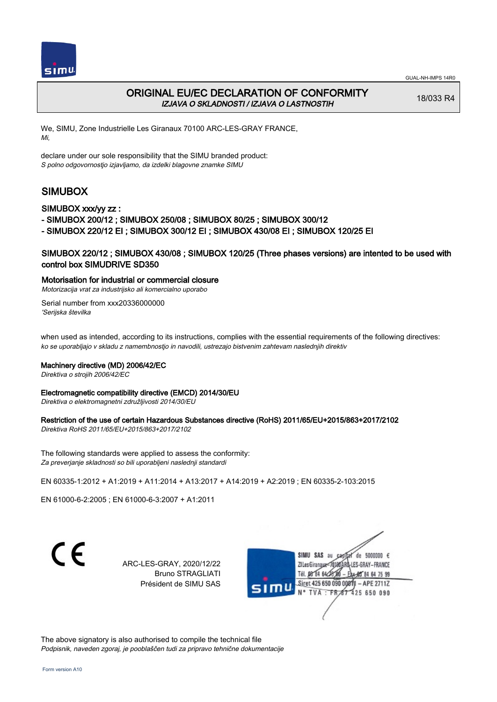



# ORIGINAL EU/EC DECLARATION OF CONFORMITY IZJAVA O SKLADNOSTI / IZJAVA O LASTNOSTIH

18/033 R4

We, SIMU, Zone Industrielle Les Giranaux 70100 ARC-LES-GRAY FRANCE, Mi,

declare under our sole responsibility that the SIMU branded product: S polno odgovornostjo izjavljamo, da izdelki blagovne znamke SIMU

# SIMUBOX

#### SIMUBOX xxx/yy zz :

- SIMUBOX 200/12 ; SIMUBOX 250/08 ; SIMUBOX 80/25 ; SIMUBOX 300/12

- SIMUBOX 220/12 EI ; SIMUBOX 300/12 EI ; SIMUBOX 430/08 EI ; SIMUBOX 120/25 EI

## SIMUBOX 220/12 ; SIMUBOX 430/08 ; SIMUBOX 120/25 (Three phases versions) are intented to be used with control box SIMUDRIVE SD350

#### Motorisation for industrial or commercial closure

Motorizacija vrat za industrijsko ali komercialno uporabo

Serial number from xxx20336000000 'Serijska številka

when used as intended, according to its instructions, complies with the essential requirements of the following directives: ko se uporabljajo v skladu z namembnostjo in navodili, ustrezajo bistvenim zahtevam naslednjih direktiv

#### Machinery directive (MD) 2006/42/EC

Direktiva o strojih 2006/42/EC

#### Electromagnetic compatibility directive (EMCD) 2014/30/EU

Direktiva o elektromagnetni združljivosti 2014/30/EU

#### Restriction of the use of certain Hazardous Substances directive (RoHS) 2011/65/EU+2015/863+2017/2102

Direktiva RoHS 2011/65/EU+2015/863+2017/2102

The following standards were applied to assess the conformity: Za preverjanje skladnosti so bili uporabljeni naslednji standardi

EN 60335‑1:2012 + A1:2019 + A11:2014 + A13:2017 + A14:2019 + A2:2019 ; EN 60335‑2‑103:2015

EN 61000‑6‑2:2005 ; EN 61000‑6‑3:2007 + A1:2011

ARC-LES-GRAY, 2020/12/22 Bruno STRAGLIATI Président de SIMU SAS



The above signatory is also authorised to compile the technical file Podpisnik, naveden zgoraj, je pooblaščen tudi za pripravo tehnične dokumentacije

 $\epsilon$